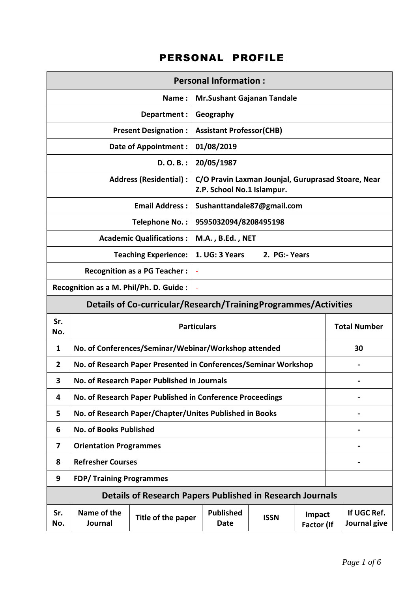## PERSONAL PROFILE

|                               |                                                                 | <b>Personal Information:</b>                                     |                                                                                  |               |                      |  |                             |
|-------------------------------|-----------------------------------------------------------------|------------------------------------------------------------------|----------------------------------------------------------------------------------|---------------|----------------------|--|-----------------------------|
|                               |                                                                 | Name:                                                            | <b>Mr.Sushant Gajanan Tandale</b>                                                |               |                      |  |                             |
|                               |                                                                 | Department:                                                      | Geography                                                                        |               |                      |  |                             |
|                               |                                                                 | <b>Present Designation:</b>                                      | <b>Assistant Professor(CHB)</b>                                                  |               |                      |  |                             |
|                               |                                                                 | <b>Date of Appointment:</b>                                      | 01/08/2019                                                                       |               |                      |  |                             |
|                               |                                                                 | $D. O. B.$ :                                                     | 20/05/1987                                                                       |               |                      |  |                             |
| <b>Address (Residential):</b> |                                                                 |                                                                  | C/O Pravin Laxman Jounjal, Guruprasad Stoare, Near<br>Z.P. School No.1 Islampur. |               |                      |  |                             |
|                               |                                                                 | <b>Email Address:</b>                                            | Sushanttandale87@gmail.com                                                       |               |                      |  |                             |
|                               |                                                                 | Telephone No.:                                                   | 9595032094/8208495198                                                            |               |                      |  |                             |
|                               |                                                                 | <b>Academic Qualifications:</b>                                  | M.A., B.Ed., NET                                                                 |               |                      |  |                             |
|                               |                                                                 | <b>Teaching Experience:</b>                                      | 1. UG: 3 Years                                                                   | 2. PG:- Years |                      |  |                             |
|                               |                                                                 | <b>Recognition as a PG Teacher:</b>                              | $\blacksquare$                                                                   |               |                      |  |                             |
|                               | Recognition as a M. Phil/Ph. D. Guide :                         |                                                                  |                                                                                  |               |                      |  |                             |
|                               | Details of Co-curricular/Research/TrainingProgrammes/Activities |                                                                  |                                                                                  |               |                      |  |                             |
| Sr.<br>No.                    | <b>Particulars</b><br><b>Total Number</b>                       |                                                                  |                                                                                  |               |                      |  |                             |
| 1                             |                                                                 | No. of Conferences/Seminar/Webinar/Workshop attended             |                                                                                  |               |                      |  | 30                          |
| 2                             |                                                                 | No. of Research Paper Presented in Conferences/Seminar Workshop  |                                                                                  |               |                      |  |                             |
| 3                             |                                                                 | No. of Research Paper Published in Journals                      |                                                                                  |               |                      |  |                             |
| 4                             |                                                                 | No. of Research Paper Published in Conference Proceedings        |                                                                                  |               |                      |  |                             |
| 5                             |                                                                 | No. of Research Paper/Chapter/Unites Published in Books          |                                                                                  |               |                      |  |                             |
| 6                             | <b>No. of Books Published</b>                                   |                                                                  |                                                                                  |               |                      |  |                             |
| 7                             | <b>Orientation Programmes</b>                                   |                                                                  |                                                                                  |               |                      |  |                             |
| 8                             | <b>Refresher Courses</b>                                        |                                                                  |                                                                                  |               |                      |  |                             |
| 9                             | <b>FDP/Training Programmes</b>                                  |                                                                  |                                                                                  |               |                      |  |                             |
|                               |                                                                 | <b>Details of Research Papers Published in Research Journals</b> |                                                                                  |               |                      |  |                             |
| Sr.<br>No.                    | Name of the<br>Journal                                          | Title of the paper                                               | <b>Published</b><br>Date                                                         | <b>ISSN</b>   | Impact<br>Factor (If |  | If UGC Ref.<br>Journal give |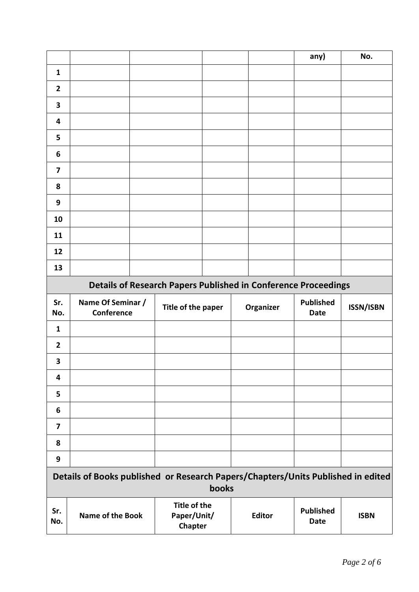|                         |                                                                       |  | any) | No. |
|-------------------------|-----------------------------------------------------------------------|--|------|-----|
| $\mathbf{1}$            |                                                                       |  |      |     |
| $\overline{2}$          |                                                                       |  |      |     |
| $\overline{\mathbf{3}}$ |                                                                       |  |      |     |
| 4                       |                                                                       |  |      |     |
| 5                       |                                                                       |  |      |     |
| $\boldsymbol{6}$        |                                                                       |  |      |     |
| $\overline{\mathbf{z}}$ |                                                                       |  |      |     |
| 8                       |                                                                       |  |      |     |
| 9                       |                                                                       |  |      |     |
| 10                      |                                                                       |  |      |     |
| 11                      |                                                                       |  |      |     |
| 12                      |                                                                       |  |      |     |
| 13                      |                                                                       |  |      |     |
|                         | <b>Details of Research Papers Published in Conference Proceedings</b> |  |      |     |

| Sr.<br>No.              | Name Of Seminar /<br>Conference | Title of the paper | Organizer | <b>Published</b><br>Date | <b>ISSN/ISBN</b> |
|-------------------------|---------------------------------|--------------------|-----------|--------------------------|------------------|
| $\mathbf{1}$            |                                 |                    |           |                          |                  |
| $\overline{2}$          |                                 |                    |           |                          |                  |
| $\overline{\mathbf{3}}$ |                                 |                    |           |                          |                  |
| $\overline{\mathbf{4}}$ |                                 |                    |           |                          |                  |
| 5                       |                                 |                    |           |                          |                  |
| $\boldsymbol{6}$        |                                 |                    |           |                          |                  |
| $\overline{\mathbf{z}}$ |                                 |                    |           |                          |                  |
| 8                       |                                 |                    |           |                          |                  |
| 9                       |                                 |                    |           |                          |                  |
|                         |                                 |                    |           |                          |                  |

|            | Details of Books published or Research Papers/Chapters/Units Published in edited | <b>books</b>                           |               |                          |             |
|------------|----------------------------------------------------------------------------------|----------------------------------------|---------------|--------------------------|-------------|
| Sr.<br>No. | <b>Name of the Book</b>                                                          | Title of the<br>Paper/Unit/<br>Chapter | <b>Editor</b> | <b>Published</b><br>Date | <b>ISBN</b> |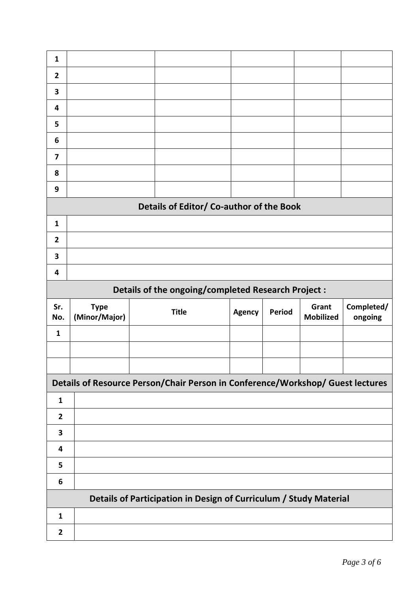| $\mathbf{1}$            |                              |                                                                                |               |               |                           |                       |
|-------------------------|------------------------------|--------------------------------------------------------------------------------|---------------|---------------|---------------------------|-----------------------|
| $\overline{2}$          |                              |                                                                                |               |               |                           |                       |
| 3                       |                              |                                                                                |               |               |                           |                       |
| 4                       |                              |                                                                                |               |               |                           |                       |
| 5                       |                              |                                                                                |               |               |                           |                       |
| 6                       |                              |                                                                                |               |               |                           |                       |
| 7                       |                              |                                                                                |               |               |                           |                       |
| 8                       |                              |                                                                                |               |               |                           |                       |
| 9                       |                              |                                                                                |               |               |                           |                       |
|                         |                              | Details of Editor/ Co-author of the Book                                       |               |               |                           |                       |
| $\mathbf{1}$            |                              |                                                                                |               |               |                           |                       |
| $\overline{2}$          |                              |                                                                                |               |               |                           |                       |
| 3                       |                              |                                                                                |               |               |                           |                       |
| $\overline{\mathbf{4}}$ |                              |                                                                                |               |               |                           |                       |
|                         |                              | Details of the ongoing/completed Research Project :                            |               |               |                           |                       |
|                         |                              |                                                                                |               |               |                           |                       |
| Sr.<br>No.              | <b>Type</b><br>(Minor/Major) | <b>Title</b>                                                                   | <b>Agency</b> | <b>Period</b> | Grant<br><b>Mobilized</b> | Completed/<br>ongoing |
| $\mathbf{1}$            |                              |                                                                                |               |               |                           |                       |
|                         |                              |                                                                                |               |               |                           |                       |
|                         |                              |                                                                                |               |               |                           |                       |
|                         |                              | Details of Resource Person/Chair Person in Conference/Workshop/ Guest lectures |               |               |                           |                       |
| $\mathbf{1}$            |                              |                                                                                |               |               |                           |                       |
| $\mathbf{2}$            |                              |                                                                                |               |               |                           |                       |
| $\overline{\mathbf{3}}$ |                              |                                                                                |               |               |                           |                       |
| 4                       |                              |                                                                                |               |               |                           |                       |
| 5                       |                              |                                                                                |               |               |                           |                       |
| 6                       |                              |                                                                                |               |               |                           |                       |
|                         |                              | Details of Participation in Design of Curriculum / Study Material              |               |               |                           |                       |
| $\mathbf{1}$            |                              |                                                                                |               |               |                           |                       |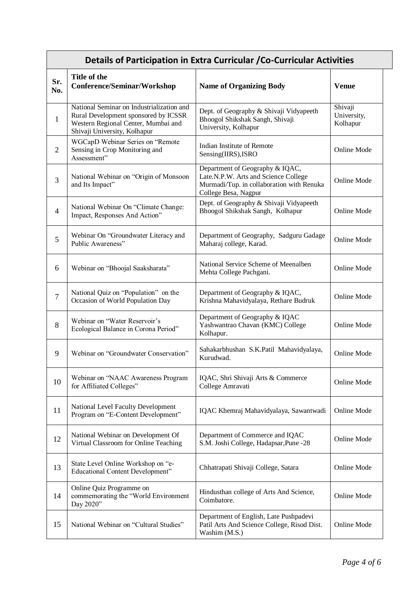## **Details of Participation in Extra Curricular /Co-Curricular Activities**

| Sr.<br>No.     | Title of the<br><b>Conference/Seminar/Workshop</b>                                                                                                       | <b>Name of Organizing Body</b>                                                                                                               | <b>Venue</b>                       |
|----------------|----------------------------------------------------------------------------------------------------------------------------------------------------------|----------------------------------------------------------------------------------------------------------------------------------------------|------------------------------------|
| $\mathbf{1}$   | National Seminar on Industrialization and<br>Rural Development sponsored by ICSSR<br>Western Regional Center, Mumbai and<br>Shivaji University, Kolhapur | Dept. of Geography & Shivaji Vidyapeeth<br>Bhoogol Shikshak Sangh, Shivaji<br>University, Kolhapur                                           | Shivaji<br>University,<br>Kolhapur |
| $\overline{2}$ | WGCapD Webinar Series on "Remote<br>Sensing in Crop Monitoring and<br>Assessment"                                                                        | Indian Institute of Remote<br>Sensing(IIRS), ISRO                                                                                            | <b>Online Mode</b>                 |
| 3              | National Webinar on "Origin of Monsoon<br>and Its Impact"                                                                                                | Department of Geography & IQAC,<br>Late.N.P.W. Arts and Science College<br>Murmadi/Tup. in collaboration with Renuka<br>College Besa, Nagpur | Online Mode                        |
| $\overline{4}$ | National Webinar On "Climate Change:<br>Impact, Responses And Action"                                                                                    | Dept. of Geography & Shivaji Vidyapeeth<br>Bhoogol Shikshak Sangh, Kolhapur                                                                  | <b>Online Mode</b>                 |
| 5              | Webinar On "Groundwater Literacy and<br>Public Awareness"                                                                                                | Department of Geography, Sadguru Gadage<br>Maharaj college, Karad.                                                                           | <b>Online Mode</b>                 |
| 6              | Webinar on "Bhoojal Saaksharata"                                                                                                                         | National Service Scheme of Meenalben<br>Mehta College Pachgani.                                                                              | <b>Online Mode</b>                 |
| $\overline{7}$ | National Quiz on "Population" on the<br>Occasion of World Population Day                                                                                 | Department of Geography & IQAC,<br>Krishna Mahavidyalaya, Rethare Budruk                                                                     | Online Mode                        |
| 8              | Webinar on "Water Reservoir's<br>Ecological Balance in Corona Period"                                                                                    | Department of Geography & IQAC<br>Yashwantrao Chavan (KMC) College<br>Kolhapur.                                                              | <b>Online Mode</b>                 |
| 9              | Webinar on "Groundwater Conservation"                                                                                                                    | Sahakarbhushan S.K.Patil Mahavidyalaya,<br>Kurudwad.                                                                                         | <b>Online Mode</b>                 |
| 10             | Webinar on "NAAC Awareness Program<br>for Affiliated Colleges"                                                                                           | IQAC, Shri Shivaji Arts & Commerce<br>College Amravati                                                                                       | <b>Online Mode</b>                 |
| 11             | National Level Faculty Development<br>Program on "E-Content Development"                                                                                 | IQAC Khemraj Mahavidyalaya, Sawantwadi                                                                                                       | <b>Online Mode</b>                 |
| 12             | National Webinar on Development Of<br>Virtual Classroom for Online Teaching                                                                              | Department of Commerce and IQAC<br>S.M. Joshi College, Hadapsar, Pune -28                                                                    | Online Mode                        |
| 13             | State Level Online Workshop on "e-<br><b>Educational Content Development"</b>                                                                            | Chhatrapati Shivaji College, Satara                                                                                                          | Online Mode                        |
| 14             | Online Quiz Programme on<br>commemorating the "World Environment<br>Day 2020"                                                                            | Hindusthan college of Arts And Science,<br>Coimbatore.                                                                                       | <b>Online Mode</b>                 |
| 15             | National Webinar on "Cultural Studies"                                                                                                                   | Department of English, Late Pushpadevi<br>Patil Arts And Science College, Risod Dist.<br>Washim (M.S.)                                       | Online Mode                        |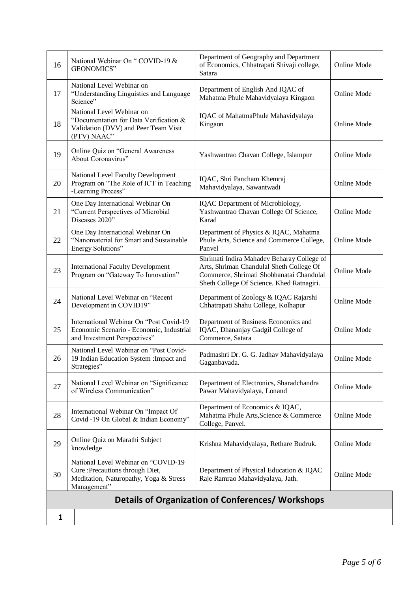| 16 | National Webinar On "COVID-19 &<br>GEONOMICS"                                                                                    | Department of Geography and Department<br>of Economics, Chhatrapati Shivaji college,<br>Satara                                                                                  | <b>Online Mode</b> |
|----|----------------------------------------------------------------------------------------------------------------------------------|---------------------------------------------------------------------------------------------------------------------------------------------------------------------------------|--------------------|
| 17 | National Level Webinar on<br>"Understanding Linguistics and Language<br>Science"                                                 | Department of English And IQAC of<br>Mahatma Phule Mahavidyalaya Kingaon                                                                                                        | <b>Online Mode</b> |
| 18 | National Level Webinar on<br>"Documentation for Data Verification &<br>Validation (DVV) and Peer Team Visit<br>(PTV) NAAC"       | IQAC of MahatmaPhule Mahavidyalaya<br>Kingaon                                                                                                                                   | <b>Online Mode</b> |
| 19 | Online Quiz on "General Awareness<br>About Coronavirus"                                                                          | Yashwantrao Chavan College, Islampur                                                                                                                                            | <b>Online Mode</b> |
| 20 | National Level Faculty Development<br>Program on "The Role of ICT in Teaching<br>-Learning Process"                              | IQAC, Shri Pancham Khemraj<br>Mahavidyalaya, Sawantwadi                                                                                                                         | <b>Online Mode</b> |
| 21 | One Day International Webinar On<br>"Current Perspectives of Microbial<br>Diseases 2020"                                         | IQAC Department of Microbiology,<br>Yashwantrao Chavan College Of Science,<br>Karad                                                                                             | <b>Online Mode</b> |
| 22 | One Day International Webinar On<br>"Nanomaterial for Smart and Sustainable<br>Energy Solutions"                                 | Department of Physics & IQAC, Mahatma<br>Phule Arts, Science and Commerce College,<br>Panvel                                                                                    | Online Mode        |
| 23 | <b>International Faculty Development</b><br>Program on "Gateway To Innovation"                                                   | Shrimati Indira Mahadev Beharay College of<br>Arts, Shriman Chandulal Sheth College Of<br>Commerce, Shrimati Shobhanatai Chandulal<br>Sheth College Of Science. Khed Ratnagiri. | <b>Online Mode</b> |
| 24 | National Level Webinar on "Recent<br>Development in COVID19"                                                                     | Department of Zoology & IQAC Rajarshi<br>Chhatrapati Shahu College, Kolhapur                                                                                                    | <b>Online Mode</b> |
| 25 | International Webinar On "Post Covid-19<br>Economic Scenario - Economic, Industrial<br>and Investment Perspectives"              | Department of Business Economics and<br>IQAC, Dhananjay Gadgil College of<br>Commerce, Satara                                                                                   | <b>Online Mode</b> |
| 26 | National Level Webinar on "Post Covid-<br>19 Indian Education System : Impact and<br>Strategies"                                 | Padmashri Dr. G. G. Jadhav Mahavidyalaya<br>Gaganbavada.                                                                                                                        | <b>Online Mode</b> |
| 27 | National Level Webinar on "Significance<br>of Wireless Communication"                                                            | Department of Electronics, Sharadchandra<br>Pawar Mahavidyalaya, Lonand                                                                                                         | <b>Online Mode</b> |
| 28 | International Webinar On "Impact Of<br>Covid -19 On Global & Indian Economy"                                                     | Department of Economics & IQAC,<br>Mahatma Phule Arts, Science & Commerce<br>College, Panvel.                                                                                   | <b>Online Mode</b> |
| 29 | Online Quiz on Marathi Subject<br>knowledge                                                                                      | Krishna Mahavidyalaya, Rethare Budruk.                                                                                                                                          | <b>Online Mode</b> |
| 30 | National Level Webinar on "COVID-19<br>Cure : Precautions through Diet,<br>Meditation, Naturopathy, Yoga & Stress<br>Management" | Department of Physical Education & IQAC<br>Raje Ramrao Mahavidyalaya, Jath.                                                                                                     | <b>Online Mode</b> |
|    |                                                                                                                                  | Details of Organization of Conferences/ Workshops                                                                                                                               |                    |
| 1  |                                                                                                                                  |                                                                                                                                                                                 |                    |